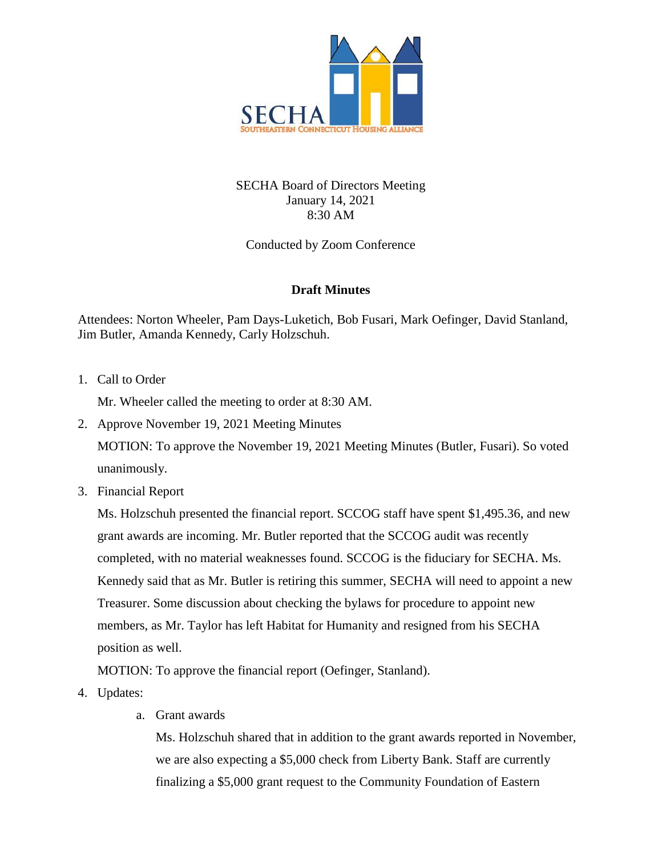

## SECHA Board of Directors Meeting January 14, 2021 8:30 AM

Conducted by Zoom Conference

## **Draft Minutes**

Attendees: Norton Wheeler, Pam Days-Luketich, Bob Fusari, Mark Oefinger, David Stanland, Jim Butler, Amanda Kennedy, Carly Holzschuh.

1. Call to Order

Mr. Wheeler called the meeting to order at 8:30 AM.

2. Approve November 19, 2021 Meeting Minutes

MOTION: To approve the November 19, 2021 Meeting Minutes (Butler, Fusari). So voted unanimously.

3. Financial Report

Ms. Holzschuh presented the financial report. SCCOG staff have spent \$1,495.36, and new grant awards are incoming. Mr. Butler reported that the SCCOG audit was recently completed, with no material weaknesses found. SCCOG is the fiduciary for SECHA. Ms. Kennedy said that as Mr. Butler is retiring this summer, SECHA will need to appoint a new Treasurer. Some discussion about checking the bylaws for procedure to appoint new members, as Mr. Taylor has left Habitat for Humanity and resigned from his SECHA position as well.

MOTION: To approve the financial report (Oefinger, Stanland).

- 4. Updates:
	- a. Grant awards

Ms. Holzschuh shared that in addition to the grant awards reported in November, we are also expecting a \$5,000 check from Liberty Bank. Staff are currently finalizing a \$5,000 grant request to the Community Foundation of Eastern